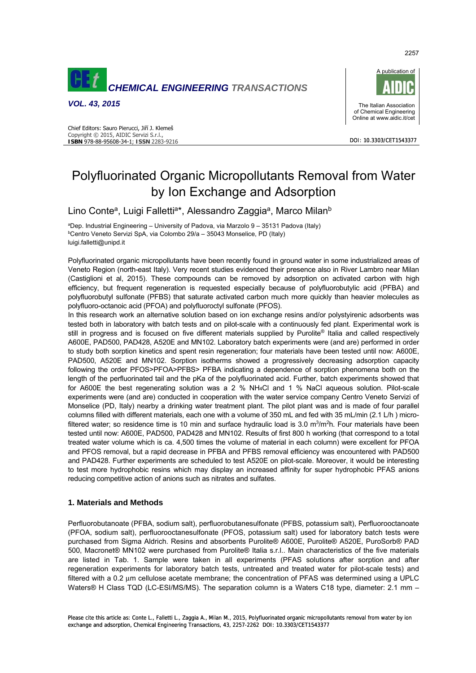





# Polyfluorinated Organic Micropollutants Removal from Water by Ion Exchange and Adsorption

Lino Conte<sup>a</sup>, Luigi Falletti<sup>a\*</sup>, Alessandro Zaggia<sup>a</sup>, Marco Milan<sup>b</sup>

<sup>a</sup>Dep. Industrial Engineering – University of Padova, via Marzolo 9 – 35131 Padova (Italy)<br><sup>b</sup>Centro Veneto Servizi SpA, via Colombo 29/a – 35043 Monselice, PD (Italy) <sup>b</sup>Centro Veneto Servizi SpA, via Colombo 29/a - 35043 Monselice, PD (Italy) luigi.falletti@unipd.it

Polyfluorinated organic micropollutants have been recently found in ground water in some industrialized areas of Veneto Region (north-east Italy). Very recent studies evidenced their presence also in River Lambro near Milan (Castiglioni et al, 2015). These compounds can be removed by adsorption on activated carbon with high efficiency, but frequent regeneration is requested especially because of polyfluorobutylic acid (PFBA) and polyfluorobutyl sulfonate (PFBS) that saturate activated carbon much more quickly than heavier molecules as polyfluoro-octanoic acid (PFOA) and polyfluoroctyl sulfonate (PFOS).

In this research work an alternative solution based on ion exchange resins and/or polystyirenic adsorbents was tested both in laboratory with batch tests and on pilot-scale with a continuously fed plant. Experimental work is still in progress and is focused on five different materials supplied by Purolite® Italia and called respectively A600E, PAD500, PAD428, A520E and MN102. Laboratory batch experiments were (and are) performed in order to study both sorption kinetics and spent resin regeneration; four materials have been tested until now: A600E, PAD500, A520E and MN102. Sorption isotherms showed a progressively decreasing adsorption capacity following the order PFOS>PFOA>PFBS> PFBA indicating a dependence of sorption phenomena both on the length of the perfluorinated tail and the pKa of the polyfluorinated acid. Further, batch experiments showed that for A600E the best regenerating solution was a 2 % NH4Cl and 1 % NaCl aqueous solution. Pilot-scale experiments were (and are) conducted in cooperation with the water service company Centro Veneto Servizi of Monselice (PD, Italy) nearby a drinking water treatment plant. The pilot plant was and is made of four parallel columns filled with different materials, each one with a volume of 350 mL and fed with 35 mL/min (2.1 L/h ) microfiltered water; so residence time is 10 min and surface hydraulic load is 3.0  $m<sup>3</sup>/m<sup>2</sup>$ h. Four materials have been tested until now: A600E, PAD500, PAD428 and MN102. Results of first 800 h working (that correspond to a total treated water volume which is ca. 4,500 times the volume of material in each column) were excellent for PFOA and PFOS removal, but a rapid decrease in PFBA and PFBS removal efficiency was encountered with PAD500 and PAD428. Further experiments are scheduled to test A520E on pilot-scale. Moreover, it would be interesting to test more hydrophobic resins which may display an increased affinity for super hydrophobic PFAS anions reducing competitive action of anions such as nitrates and sulfates.

# **1. Materials and Methods**

Perfluorobutanoate (PFBA, sodium salt), perfluorobutanesulfonate (PFBS, potassium salt), Perfluorooctanoate (PFOA, sodium salt), perfluorooctanesulfonate (PFOS, potassium salt) used for laboratory batch tests were purchased from Sigma Aldrich. Resins and absorbents Purolite® A600E, Purolite® A520E, PuroSorb® PAD 500, Macronet® MN102 were purchased from Purolite® Italia s.r.l.. Main characteristics of the five materials are listed in Tab. 1. Sample were taken in all experiments (PFAS solutions after sorption and after regeneration experiments for laboratory batch tests, untreated and treated water for pilot-scale tests) and filtered with a 0.2 μm cellulose acetate membrane; the concentration of PFAS was determined using a UPLC Waters® H Class TQD (LC-ESI/MS/MS). The separation column is a Waters C18 type, diameter: 2.1 mm –

2257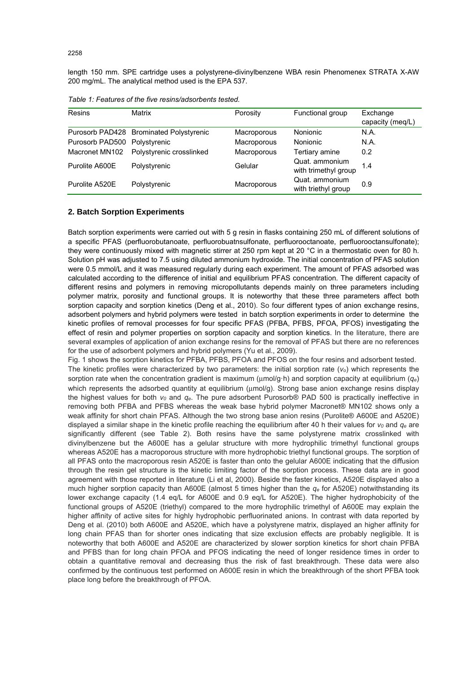length 150 mm. SPE cartridge uses a polystyrene-divinylbenzene WBA resin Phenomenex STRATA X-AW 200 mg/mL. The analytical method used is the EPA 537.

| Resins          | Matrix                                  | Porosity    | Functional group                       | Exchange<br>capacity (meq/L) |
|-----------------|-----------------------------------------|-------------|----------------------------------------|------------------------------|
|                 | Purosorb PAD428 Brominated Polystyrenic | Macroporous | Nonionic                               | N.A.                         |
| Purosorb PAD500 | Polystyrenic                            | Macroporous | Nonionic                               | N.A.                         |
| Macronet MN102  | Polystyrenic crosslinked                | Macroporous | Tertiary amine                         | 0.2                          |
| Purolite A600E  | Polystyrenic                            | Gelular     | Quat. ammonium<br>with trimethyl group | 1.4                          |
| Purolite A520E  | Polystyrenic                            | Macroporous | Quat. ammonium<br>with triethyl group  | 0.9                          |

*Table 1: Features of the five resins/adsorbents tested.* 

## **2. Batch Sorption Experiments**

Batch sorption experiments were carried out with 5 g resin in flasks containing 250 mL of different solutions of a specific PFAS (perfluorobutanoate, perfluorobuatnsulfonate, perfluorooctanoate, perfluorooctansulfonate); they were continuously mixed with magnetic stirrer at 250 rpm kept at 20 °C in a thermostatic oven for 80 h. Solution pH was adjusted to 7.5 using diluted ammonium hydroxide. The initial concentration of PFAS solution were 0.5 mmol/L and it was measured regularly during each experiment. The amount of PFAS adsorbed was calculated according to the difference of initial and equilibrium PFAS concentration. The different capacity of different resins and polymers in removing micropollutants depends mainly on three parameters including polymer matrix, porosity and functional groups. It is noteworthy that these three parameters affect both sorption capacity and sorption kinetics (Deng et al., 2010). So four different types of anion exchange resins, adsorbent polymers and hybrid polymers were tested in batch sorption experiments in order to determine the kinetic profiles of removal processes for four specific PFAS (PFBA, PFBS, PFOA, PFOS) investigating the effect of resin and polymer properties on sorption capacity and sorption kinetics. In the literature, there are several examples of application of anion exchange resins for the removal of PFAS but there are no references for the use of adsorbent polymers and hybrid polymers (Yu et al., 2009).

Fig. 1 shows the sorption kinetics for PFBA, PFBS, PFOA and PFOS on the four resins and adsorbent tested. The kinetic profiles were characterized by two parameters: the initial sorption rate (*vo*) which represents the sorption rate when the concentration gradient is maximum (μmol/g·h) and sorption capacity at equilibrium (*qe*) which represents the adsorbed quantity at equilibrium (μmol/g). Strong base anion exchange resins display the highest values for both *v0* and *qe*. The pure adsorbent Purosorb® PAD 500 is practically ineffective in removing both PFBA and PFBS whereas the weak base hybrid polymer Macronet® MN102 shows only a weak affinity for short chain PFAS. Although the two strong base anion resins (Purolite® A600E and A520E) displayed a similar shape in the kinetic profile reaching the equilibrium after 40 h their values for  $v_0$  and  $q_e$  are significantly different (see Table 2). Both resins have the same polystyrene matrix crosslinked with divinylbenzene but the A600E has a gelular structure with more hydrophilic trimethyl functional groups whereas A520E has a macroporous structure with more hydrophobic triethyl functional groups. The sorption of all PFAS onto the macroporous resin A520E is faster than onto the gelular A600E indicating that the diffusion through the resin gel structure is the kinetic limiting factor of the sorption process. These data are in good agreement with those reported in literature (Li et al, 2000). Beside the faster kinetics, A520E displayed also a much higher sorption capacity than A600E (almost 5 times higher than the *qe* for A520E) notwithstanding its lower exchange capacity (1.4 eq/L for A600E and 0.9 eq/L for A520E). The higher hydrophobicity of the functional groups of A520E (triethyl) compared to the more hydrophilic trimethyl of A600E may explain the higher affinity of active sites for highly hydrophobic perfluorinated anions. In contrast with data reported by Deng et al. (2010) both A600E and A520E, which have a polystyrene matrix, displayed an higher affinity for long chain PFAS than for shorter ones indicating that size exclusion effects are probably negligible. It is noteworthy that both A600E and A520E are characterized by slower sorption kinetics for short chain PFBA and PFBS than for long chain PFOA and PFOS indicating the need of longer residence times in order to obtain a quantitative removal and decreasing thus the risk of fast breakthrough. These data were also confirmed by the continuous test performed on A600E resin in which the breakthrough of the short PFBA took place long before the breakthrough of PFOA.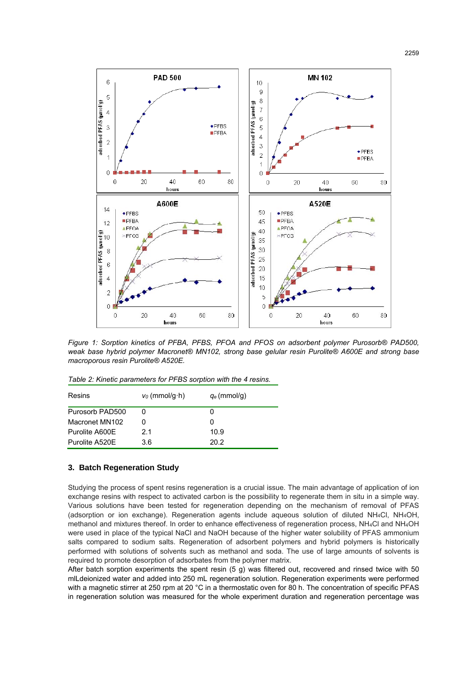

*Figure 1: Sorption kinetics of PFBA, PFBS, PFOA and PFOS on adsorbent polymer Purosorb® PAD500, weak base hybrid polymer Macronet® MN102, strong base gelular resin Purolite® A600E and strong base macroporous resin Purolite® A520E.* 

| Resins          | $v_0$ (mmol/g·h) | $q_e$ (mmol/g) |
|-----------------|------------------|----------------|
| Purosorb PAD500 |                  |                |
| Macronet MN102  |                  |                |
| Purolite A600E  | 21               | 10.9           |
| Purolite A520E  | 3.6              | 20.2           |

# **3. Batch Regeneration Study**

Studying the process of spent resins regeneration is a crucial issue. The main advantage of application of ion exchange resins with respect to activated carbon is the possibility to regenerate them in situ in a simple way. Various solutions have been tested for regeneration depending on the mechanism of removal of PFAS (adsorption or ion exchange). Regeneration agents include aqueous solution of diluted NH4Cl, NH4OH, methanol and mixtures thereof. In order to enhance effectiveness of regeneration process, NH4Cl and NH4OH were used in place of the typical NaCl and NaOH because of the higher water solubility of PFAS ammonium salts compared to sodium salts. Regeneration of adsorbent polymers and hybrid polymers is historically performed with solutions of solvents such as methanol and soda. The use of large amounts of solvents is required to promote desorption of adsorbates from the polymer matrix.

After batch sorption experiments the spent resin (5 g) was filtered out, recovered and rinsed twice with 50 mlLdeionized water and added into 250 mL regeneration solution. Regeneration experiments were performed with a magnetic stirrer at 250 rpm at 20 °C in a thermostatic oven for 80 h. The concentration of specific PFAS in regeneration solution was measured for the whole experiment duration and regeneration percentage was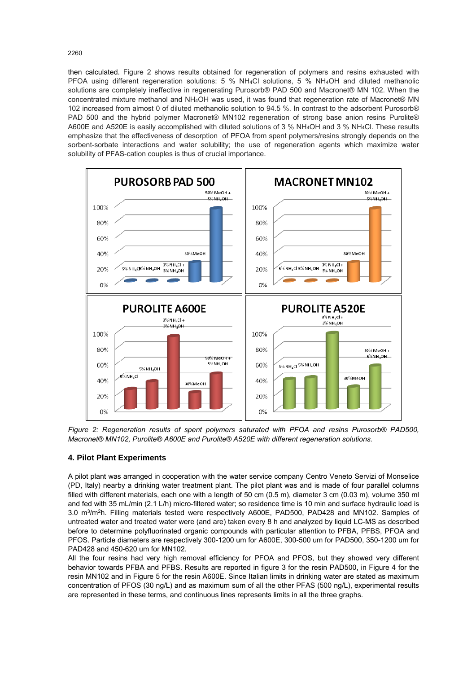then calculated. Figure 2 shows results obtained for regeneration of polymers and resins exhausted with PFOA using different regeneration solutions: 5 % NH4Cl solutions, 5 % NH4OH and diluted methanolic solutions are completely ineffective in regenerating Purosorb® PAD 500 and Macronet® MN 102. When the concentrated mixture methanol and NH4OH was used, it was found that regeneration rate of Macronet® MN 102 increased from almost 0 of diluted methanolic solution to 94.5 %. In contrast to the adsorbent Purosorb® PAD 500 and the hybrid polymer Macronet® MN102 regeneration of strong base anion resins Purolite® A600E and A520E is easily accomplished with diluted solutions of 3 % NH4OH and 3 % NH4Cl. These results emphasize that the effectiveness of desorption of PFOA from spent polymers/resins strongly depends on the sorbent-sorbate interactions and water solubility; the use of regeneration agents which maximize water solubility of PFAS-cation couples is thus of crucial importance.



*Figure 2: Regeneration results of spent polymers saturated with PFOA and resins Purosorb® PAD500, Macronet® MN102, Purolite® A600E and Purolite® A520E with different regeneration solutions.* 

## **4. Pilot Plant Experiments**

A pilot plant was arranged in cooperation with the water service company Centro Veneto Servizi of Monselice (PD, Italy) nearby a drinking water treatment plant. The pilot plant was and is made of four parallel columns filled with different materials, each one with a length of 50 cm (0.5 m), diameter 3 cm (0.03 m), volume 350 ml and fed with 35 mL/min (2.1 L/h) micro-filtered water; so residence time is 10 min and surface hydraulic load is 3.0 m3/m2h. Filling materials tested were respectively A600E, PAD500, PAD428 and MN102. Samples of untreated water and treated water were (and are) taken every 8 h and analyzed by liquid LC-MS as described before to determine polyfluorinated organic compounds with particular attention to PFBA, PFBS, PFOA and PFOS. Particle diameters are respectively 300-1200 um for A600E, 300-500 um for PAD500, 350-1200 um for PAD428 and 450-620 um for MN102.

All the four resins had very high removal efficiency for PFOA and PFOS, but they showed very different behavior towards PFBA and PFBS. Results are reported in figure 3 for the resin PAD500, in Figure 4 for the resin MN102 and in Figure 5 for the resin A600E. Since Italian limits in drinking water are stated as maximum concentration of PFOS (30 ng/L) and as maximum sum of all the other PFAS (500 ng/L), experimental results are represented in these terms, and continuous lines represents limits in all the three graphs.

2260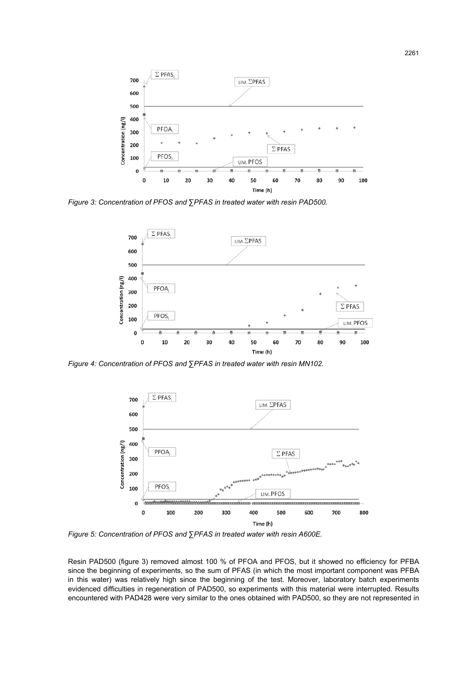

*Figure 3: Concentration of PFOS and ∑PFAS in treated water with resin PAD500.* 



*Figure 4: Concentration of PFOS and ∑PFAS in treated water with resin MN102.*



*Figure 5: Concentration of PFOS and ∑PFAS in treated water with resin A600E.*

Resin PAD500 (figure 3) removed almost 100 % of PFOA and PFOS, but it showed no efficiency for PFBA since the beginning of experiments, so the sum of PFAS (in which the most important component was PFBA in this water) was relatively high since the beginning of the test. Moreover, laboratory batch experiments evidenced difficulties in regeneration of PAD500, so experiments with this material were interrupted. Results encountered with PAD428 were very similar to the ones obtained with PAD500, so they are not represented in